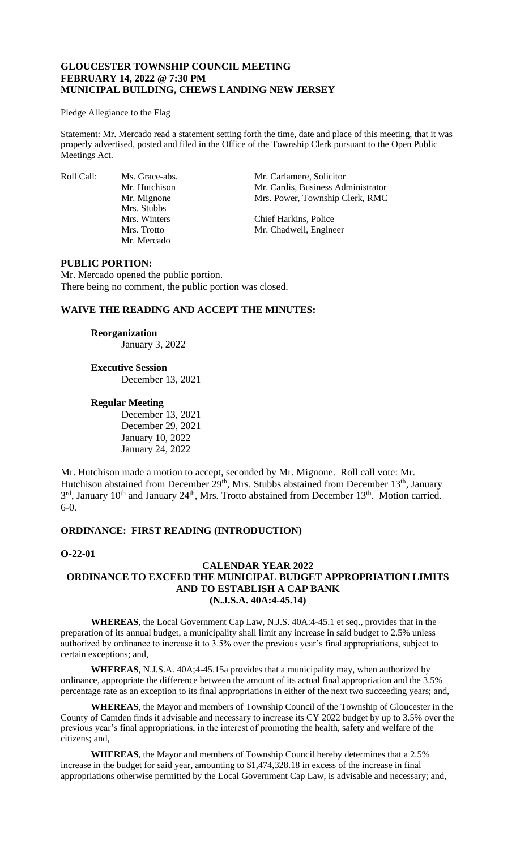### **GLOUCESTER TOWNSHIP COUNCIL MEETING FEBRUARY 14, 2022 @ 7:30 PM MUNICIPAL BUILDING, CHEWS LANDING NEW JERSEY**

#### Pledge Allegiance to the Flag

Statement: Mr. Mercado read a statement setting forth the time, date and place of this meeting, that it was properly advertised, posted and filed in the Office of the Township Clerk pursuant to the Open Public Meetings Act.

Mrs. Stubbs<br>Mrs. Winters Mr. Mercado

Roll Call: Ms. Grace-abs. Mr. Carlamere, Solicitor<br>Mr. Hutchison Mr. Cardis. Business Adı Mr. Hutchison Mr. Cardis, Business Administrator<br>Mr. Mignone Mrs. Power, Township Clerk, RMC Mrs. Power, Township Clerk, RMC

> Chief Harkins, Police Mrs. Trotto Mr. Chadwell, Engineer

### **PUBLIC PORTION:**

Mr. Mercado opened the public portion. There being no comment, the public portion was closed.

## **WAIVE THE READING AND ACCEPT THE MINUTES:**

#### **Reorganization**

January 3, 2022

# **Executive Session**

December 13, 2021

## **Regular Meeting**

December 13, 2021 December 29, 2021 January 10, 2022 January 24, 2022

Mr. Hutchison made a motion to accept, seconded by Mr. Mignone. Roll call vote: Mr. Hutchison abstained from December  $29<sup>th</sup>$ , Mrs. Stubbs abstained from December 13<sup>th</sup>, January 3<sup>rd</sup>, January 10<sup>th</sup> and January 24<sup>th</sup>, Mrs. Trotto abstained from December 13<sup>th</sup>. Motion carried. 6-0.

## **ORDINANCE: FIRST READING (INTRODUCTION)**

## **O-22-01**

### **CALENDAR YEAR 2022 ORDINANCE TO EXCEED THE MUNICIPAL BUDGET APPROPRIATION LIMITS AND TO ESTABLISH A CAP BANK (N.J.S.A. 40A:4-45.14)**

**WHEREAS**, the Local Government Cap Law, N.J.S. 40A:4-45.1 et seq., provides that in the preparation of its annual budget, a municipality shall limit any increase in said budget to 2.5% unless authorized by ordinance to increase it to 3.5% over the previous year's final appropriations, subject to certain exceptions; and,

**WHEREAS**, N.J.S.A. 40A;4-45.15a provides that a municipality may, when authorized by ordinance, appropriate the difference between the amount of its actual final appropriation and the 3.5% percentage rate as an exception to its final appropriations in either of the next two succeeding years; and,

**WHEREAS**, the Mayor and members of Township Council of the Township of Gloucester in the County of Camden finds it advisable and necessary to increase its CY 2022 budget by up to 3.5% over the previous year's final appropriations, in the interest of promoting the health, safety and welfare of the citizens; and,

**WHEREAS**, the Mayor and members of Township Council hereby determines that a 2.5% increase in the budget for said year, amounting to \$1,474,328.18 in excess of the increase in final appropriations otherwise permitted by the Local Government Cap Law, is advisable and necessary; and,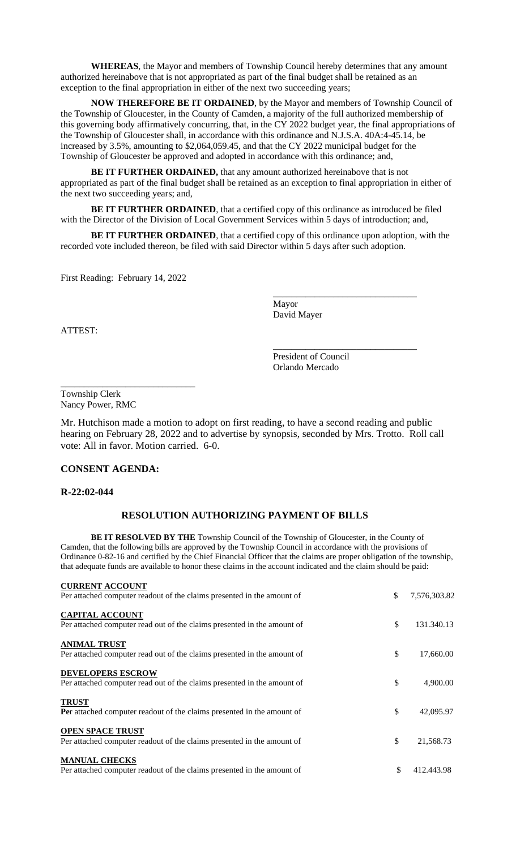**WHEREAS**, the Mayor and members of Township Council hereby determines that any amount authorized hereinabove that is not appropriated as part of the final budget shall be retained as an exception to the final appropriation in either of the next two succeeding years;

**NOW THEREFORE BE IT ORDAINED**, by the Mayor and members of Township Council of the Township of Gloucester, in the County of Camden, a majority of the full authorized membership of this governing body affirmatively concurring, that, in the CY 2022 budget year, the final appropriations of the Township of Gloucester shall, in accordance with this ordinance and N.J.S.A. 40A:4-45.14, be increased by 3.5%, amounting to \$2,064,059.45, and that the CY 2022 municipal budget for the Township of Gloucester be approved and adopted in accordance with this ordinance; and,

**BE IT FURTHER ORDAINED,** that any amount authorized hereinabove that is not appropriated as part of the final budget shall be retained as an exception to final appropriation in either of the next two succeeding years; and,

**BE IT FURTHER ORDAINED**, that a certified copy of this ordinance as introduced be filed with the Director of the Division of Local Government Services within 5 days of introduction; and,

BE IT FURTHER ORDAINED, that a certified copy of this ordinance upon adoption, with the recorded vote included thereon, be filed with said Director within 5 days after such adoption.

First Reading: February 14, 2022

\_\_\_\_\_\_\_\_\_\_\_\_\_\_\_\_\_\_\_\_\_\_\_\_\_\_\_\_\_

Mayor David Mayer

ATTEST:

President of Council Orlando Mercado

\_\_\_\_\_\_\_\_\_\_\_\_\_\_\_\_\_\_\_\_\_\_\_\_\_\_\_\_\_\_\_

\_\_\_\_\_\_\_\_\_\_\_\_\_\_\_\_\_\_\_\_\_\_\_\_\_\_\_\_\_\_\_

Township Clerk Nancy Power, RMC

Mr. Hutchison made a motion to adopt on first reading, to have a second reading and public hearing on February 28, 2022 and to advertise by synopsis, seconded by Mrs. Trotto. Roll call vote: All in favor. Motion carried. 6-0.

### **CONSENT AGENDA:**

**R-22:02-044**

### **RESOLUTION AUTHORIZING PAYMENT OF BILLS**

**BE IT RESOLVED BY THE** Township Council of the Township of Gloucester, in the County of Camden, that the following bills are approved by the Township Council in accordance with the provisions of Ordinance 0-82-16 and certified by the Chief Financial Officer that the claims are proper obligation of the township, that adequate funds are available to honor these claims in the account indicated and the claim should be paid:

| <b>CURRENT ACCOUNT</b>                                                                              |                    |
|-----------------------------------------------------------------------------------------------------|--------------------|
| Per attached computer readout of the claims presented in the amount of                              | \$<br>7,576,303.82 |
| <b>CAPITAL ACCOUNT</b><br>Per attached computer read out of the claims presented in the amount of   | \$<br>131.340.13   |
| <b>ANIMAL TRUST</b><br>Per attached computer read out of the claims presented in the amount of      | \$<br>17,660.00    |
| <b>DEVELOPERS ESCROW</b><br>Per attached computer read out of the claims presented in the amount of | \$<br>4,900.00     |
| <b>TRUST</b><br>Per attached computer readout of the claims presented in the amount of              | \$<br>42,095.97    |
| <b>OPEN SPACE TRUST</b><br>Per attached computer readout of the claims presented in the amount of   | \$<br>21,568.73    |
| <b>MANUAL CHECKS</b><br>Per attached computer readout of the claims presented in the amount of      | \$<br>412.443.98   |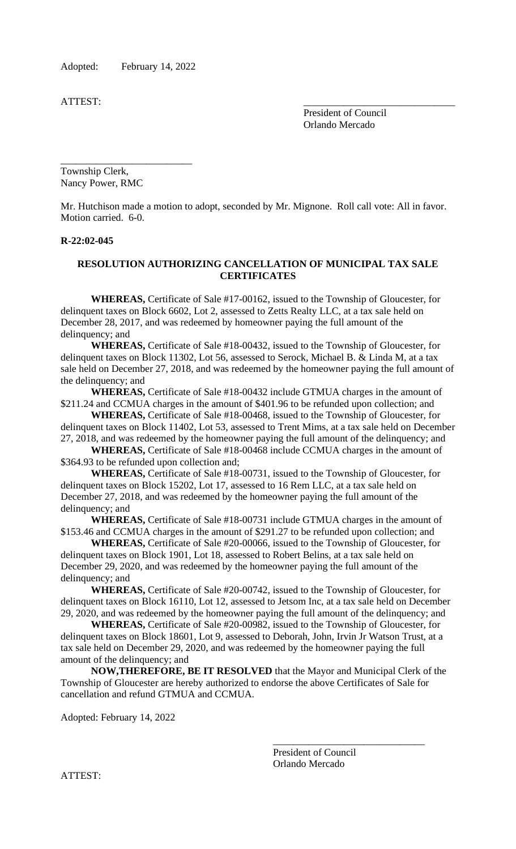Adopted: February 14, 2022

ATTEST:

President of Council Orlando Mercado

\_\_\_\_\_\_\_\_\_\_\_\_\_\_\_\_\_\_\_\_\_\_\_\_\_\_ Township Clerk, Nancy Power, RMC

Mr. Hutchison made a motion to adopt, seconded by Mr. Mignone. Roll call vote: All in favor. Motion carried. 6-0.

### **R-22:02-045**

# **RESOLUTION AUTHORIZING CANCELLATION OF MUNICIPAL TAX SALE CERTIFICATES**

**WHEREAS,** Certificate of Sale #17-00162, issued to the Township of Gloucester, for delinquent taxes on Block 6602, Lot 2, assessed to Zetts Realty LLC, at a tax sale held on December 28, 2017, and was redeemed by homeowner paying the full amount of the delinquency; and

**WHEREAS,** Certificate of Sale #18-00432, issued to the Township of Gloucester, for delinquent taxes on Block 11302, Lot 56, assessed to Serock, Michael B. & Linda M, at a tax sale held on December 27, 2018, and was redeemed by the homeowner paying the full amount of the delinquency; and

**WHEREAS,** Certificate of Sale #18-00432 include GTMUA charges in the amount of \$211.24 and CCMUA charges in the amount of \$401.96 to be refunded upon collection; and

**WHEREAS,** Certificate of Sale #18-00468, issued to the Township of Gloucester, for delinquent taxes on Block 11402, Lot 53, assessed to Trent Mims, at a tax sale held on December 27, 2018, and was redeemed by the homeowner paying the full amount of the delinquency; and

**WHEREAS,** Certificate of Sale #18-00468 include CCMUA charges in the amount of \$364.93 to be refunded upon collection and;

**WHEREAS,** Certificate of Sale #18-00731, issued to the Township of Gloucester, for delinquent taxes on Block 15202, Lot 17, assessed to 16 Rem LLC, at a tax sale held on December 27, 2018, and was redeemed by the homeowner paying the full amount of the delinquency; and

**WHEREAS,** Certificate of Sale #18-00731 include GTMUA charges in the amount of \$153.46 and CCMUA charges in the amount of \$291.27 to be refunded upon collection; and

**WHEREAS,** Certificate of Sale #20-00066, issued to the Township of Gloucester, for delinquent taxes on Block 1901, Lot 18, assessed to Robert Belins, at a tax sale held on December 29, 2020, and was redeemed by the homeowner paying the full amount of the delinquency; and

**WHEREAS,** Certificate of Sale #20-00742, issued to the Township of Gloucester, for delinquent taxes on Block 16110, Lot 12, assessed to Jetsom Inc, at a tax sale held on December 29, 2020, and was redeemed by the homeowner paying the full amount of the delinquency; and

**WHEREAS,** Certificate of Sale #20-00982, issued to the Township of Gloucester, for delinquent taxes on Block 18601, Lot 9, assessed to Deborah, John, Irvin Jr Watson Trust, at a tax sale held on December 29, 2020, and was redeemed by the homeowner paying the full amount of the delinquency; and

**NOW,THEREFORE, BE IT RESOLVED** that the Mayor and Municipal Clerk of the Township of Gloucester are hereby authorized to endorse the above Certificates of Sale for cancellation and refund GTMUA and CCMUA.

Adopted: February 14, 2022

President of Council Orlando Mercado

\_\_\_\_\_\_\_\_\_\_\_\_\_\_\_\_\_\_\_\_\_\_\_\_\_\_\_\_\_\_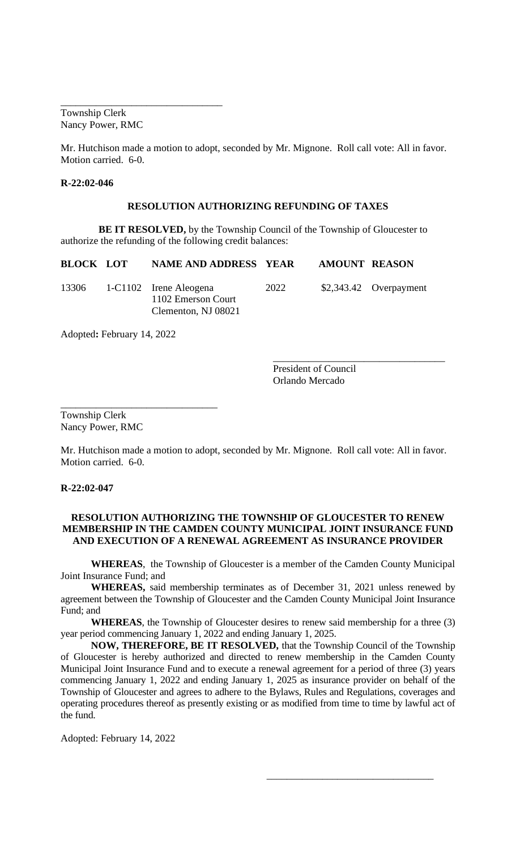Township Clerk Nancy Power, RMC

\_\_\_\_\_\_\_\_\_\_\_\_\_\_\_\_\_\_\_\_\_\_\_\_\_\_\_\_\_\_\_\_

Mr. Hutchison made a motion to adopt, seconded by Mr. Mignone. Roll call vote: All in favor. Motion carried. 6-0.

### **R-22:02-046**

### **RESOLUTION AUTHORIZING REFUNDING OF TAXES**

**BE IT RESOLVED,** by the Township Council of the Township of Gloucester to authorize the refunding of the following credit balances:

| <b>BLOCK LOT</b> | <b>NAME AND ADDRESS YEAR</b>                                        |      | <b>AMOUNT REASON</b> |                         |
|------------------|---------------------------------------------------------------------|------|----------------------|-------------------------|
| 13306            | 1-C1102 Irene Aleogena<br>1102 Emerson Court<br>Clementon, NJ 08021 | 2022 |                      | $$2,343.42$ Overpayment |

Adopted**:** February 14, 2022

\_\_\_\_\_\_\_\_\_\_\_\_\_\_\_\_\_\_\_\_\_\_\_\_\_\_\_\_\_\_\_

President of Council Orlando Mercado

\_\_\_\_\_\_\_\_\_\_\_\_\_\_\_\_\_\_\_\_\_\_\_\_\_\_\_\_\_\_\_\_\_\_

\_\_\_\_\_\_\_\_\_\_\_\_\_\_\_\_\_\_\_\_\_\_\_\_\_\_\_\_\_\_\_\_\_

Township Clerk Nancy Power, RMC

Mr. Hutchison made a motion to adopt, seconded by Mr. Mignone. Roll call vote: All in favor. Motion carried. 6-0.

**R-22:02-047**

### **RESOLUTION AUTHORIZING THE TOWNSHIP OF GLOUCESTER TO RENEW MEMBERSHIP IN THE CAMDEN COUNTY MUNICIPAL JOINT INSURANCE FUND AND EXECUTION OF A RENEWAL AGREEMENT AS INSURANCE PROVIDER**

**WHEREAS**, the Township of Gloucester is a member of the Camden County Municipal Joint Insurance Fund; and

**WHEREAS,** said membership terminates as of December 31, 2021 unless renewed by agreement between the Township of Gloucester and the Camden County Municipal Joint Insurance Fund; and

**WHEREAS**, the Township of Gloucester desires to renew said membership for a three (3) year period commencing January 1, 2022 and ending January 1, 2025.

**NOW, THEREFORE, BE IT RESOLVED,** that the Township Council of the Township of Gloucester is hereby authorized and directed to renew membership in the Camden County Municipal Joint Insurance Fund and to execute a renewal agreement for a period of three (3) years commencing January 1, 2022 and ending January 1, 2025 as insurance provider on behalf of the Township of Gloucester and agrees to adhere to the Bylaws, Rules and Regulations, coverages and operating procedures thereof as presently existing or as modified from time to time by lawful act of the fund.

Adopted: February 14, 2022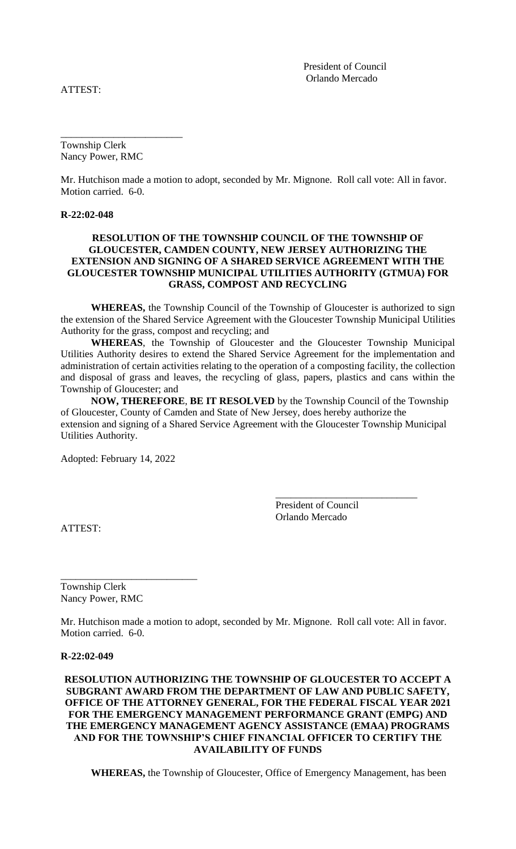ATTEST:

President of Council Orlando Mercado

Township Clerk Nancy Power, RMC

\_\_\_\_\_\_\_\_\_\_\_\_\_\_\_\_\_\_\_\_\_\_\_

Mr. Hutchison made a motion to adopt, seconded by Mr. Mignone. Roll call vote: All in favor. Motion carried. 6-0.

### **R-22:02-048**

### **RESOLUTION OF THE TOWNSHIP COUNCIL OF THE TOWNSHIP OF GLOUCESTER, CAMDEN COUNTY, NEW JERSEY AUTHORIZING THE EXTENSION AND SIGNING OF A SHARED SERVICE AGREEMENT WITH THE GLOUCESTER TOWNSHIP MUNICIPAL UTILITIES AUTHORITY (GTMUA) FOR GRASS, COMPOST AND RECYCLING**

**WHEREAS,** the Township Council of the Township of Gloucester is authorized to sign the extension of the Shared Service Agreement with the Gloucester Township Municipal Utilities Authority for the grass, compost and recycling; and

**WHEREAS**, the Township of Gloucester and the Gloucester Township Municipal Utilities Authority desires to extend the Shared Service Agreement for the implementation and administration of certain activities relating to the operation of a composting facility, the collection and disposal of grass and leaves, the recycling of glass, papers, plastics and cans within the Township of Gloucester; and

**NOW, THEREFORE**, **BE IT RESOLVED** by the Township Council of the Township of Gloucester, County of Camden and State of New Jersey, does hereby authorize the extension and signing of a Shared Service Agreement with the Gloucester Township Municipal Utilities Authority.

Adopted: February 14, 2022

ATTEST:

 President of Council Orlando Mercado

\_\_\_\_\_\_\_\_\_\_\_\_\_\_\_\_\_\_\_\_\_\_\_\_\_\_\_\_

Township Clerk Nancy Power, RMC

\_\_\_\_\_\_\_\_\_\_\_\_\_\_\_\_\_\_\_\_\_\_\_\_\_\_\_

Mr. Hutchison made a motion to adopt, seconded by Mr. Mignone. Roll call vote: All in favor. Motion carried. 6-0.

#### **R-22:02-049**

**RESOLUTION AUTHORIZING THE TOWNSHIP OF GLOUCESTER TO ACCEPT A SUBGRANT AWARD FROM THE DEPARTMENT OF LAW AND PUBLIC SAFETY, OFFICE OF THE ATTORNEY GENERAL, FOR THE FEDERAL FISCAL YEAR 2021 FOR THE EMERGENCY MANAGEMENT PERFORMANCE GRANT (EMPG) AND THE EMERGENCY MANAGEMENT AGENCY ASSISTANCE (EMAA) PROGRAMS AND FOR THE TOWNSHIP'S CHIEF FINANCIAL OFFICER TO CERTIFY THE AVAILABILITY OF FUNDS**

**WHEREAS,** the Township of Gloucester, Office of Emergency Management, has been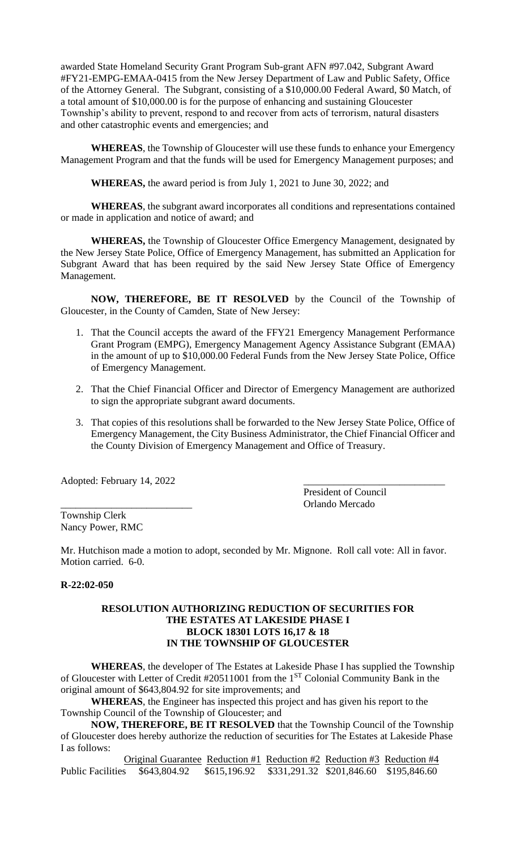awarded State Homeland Security Grant Program Sub-grant AFN #97.042, Subgrant Award #FY21-EMPG-EMAA-0415 from the New Jersey Department of Law and Public Safety, Office of the Attorney General. The Subgrant, consisting of a \$10,000.00 Federal Award, \$0 Match, of a total amount of \$10,000.00 is for the purpose of enhancing and sustaining Gloucester Township's ability to prevent, respond to and recover from acts of terrorism, natural disasters and other catastrophic events and emergencies; and

**WHEREAS**, the Township of Gloucester will use these funds to enhance your Emergency Management Program and that the funds will be used for Emergency Management purposes; and

**WHEREAS,** the award period is from July 1, 2021 to June 30, 2022; and

**WHEREAS**, the subgrant award incorporates all conditions and representations contained or made in application and notice of award; and

**WHEREAS,** the Township of Gloucester Office Emergency Management, designated by the New Jersey State Police, Office of Emergency Management, has submitted an Application for Subgrant Award that has been required by the said New Jersey State Office of Emergency Management.

**NOW, THEREFORE, BE IT RESOLVED** by the Council of the Township of Gloucester, in the County of Camden, State of New Jersey:

- 1. That the Council accepts the award of the FFY21 Emergency Management Performance Grant Program (EMPG), Emergency Management Agency Assistance Subgrant (EMAA) in the amount of up to \$10,000.00 Federal Funds from the New Jersey State Police, Office of Emergency Management.
- 2. That the Chief Financial Officer and Director of Emergency Management are authorized to sign the appropriate subgrant award documents.
- 3. That copies of this resolutions shall be forwarded to the New Jersey State Police, Office of Emergency Management, the City Business Administrator, the Chief Financial Officer and the County Division of Emergency Management and Office of Treasury.

Adopted: February 14, 2022

President of Council \_\_\_\_\_\_\_\_\_\_\_\_\_\_\_\_\_\_\_\_\_\_\_\_\_\_ Orlando Mercado

Township Clerk Nancy Power, RMC

Mr. Hutchison made a motion to adopt, seconded by Mr. Mignone. Roll call vote: All in favor. Motion carried. 6-0.

## **R-22:02-050**

### **RESOLUTION AUTHORIZING REDUCTION OF SECURITIES FOR THE ESTATES AT LAKESIDE PHASE I BLOCK 18301 LOTS 16,17 & 18 IN THE TOWNSHIP OF GLOUCESTER**

**WHEREAS**, the developer of The Estates at Lakeside Phase I has supplied the Township of Gloucester with Letter of Credit #20511001 from the 1<sup>ST</sup> Colonial Community Bank in the original amount of \$643,804.92 for site improvements; and

**WHEREAS**, the Engineer has inspected this project and has given his report to the Township Council of the Township of Gloucester; and

**NOW, THEREFORE, BE IT RESOLVED** that the Township Council of the Township of Gloucester does hereby authorize the reduction of securities for The Estates at Lakeside Phase I as follows:

Original Guarantee Reduction #1 Reduction #2 Reduction #3 Reduction #4 Public Facilities \$643,804.92 \$615,196.92 \$331,291.32 \$201,846.60 \$195,846.60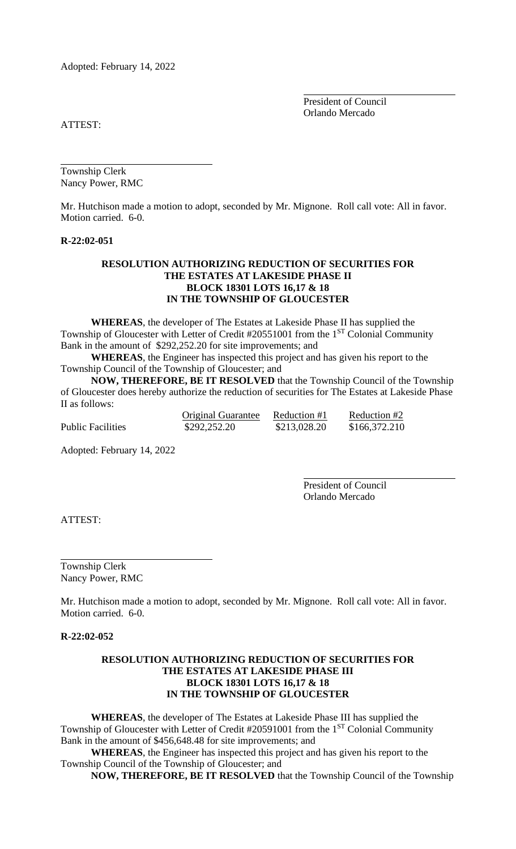Adopted: February 14, 2022

President of Council Orlando Mercado

ATTEST:

Township Clerk Nancy Power, RMC

Mr. Hutchison made a motion to adopt, seconded by Mr. Mignone. Roll call vote: All in favor. Motion carried. 6-0.

#### **R-22:02-051**

### **RESOLUTION AUTHORIZING REDUCTION OF SECURITIES FOR THE ESTATES AT LAKESIDE PHASE II BLOCK 18301 LOTS 16,17 & 18 IN THE TOWNSHIP OF GLOUCESTER**

**WHEREAS**, the developer of The Estates at Lakeside Phase II has supplied the Township of Gloucester with Letter of Credit #20551001 from the 1<sup>ST</sup> Colonial Community Bank in the amount of \$292,252.20 for site improvements; and

**WHEREAS**, the Engineer has inspected this project and has given his report to the Township Council of the Township of Gloucester; and

**NOW, THEREFORE, BE IT RESOLVED** that the Township Council of the Township of Gloucester does hereby authorize the reduction of securities for The Estates at Lakeside Phase II as follows:

|                          | <b>Original Guarantee</b> | Reduction #1 | Reduction #2  |
|--------------------------|---------------------------|--------------|---------------|
| <b>Public Facilities</b> | \$292,252.20              | \$213,028.20 | \$166,372.210 |

Adopted: February 14, 2022

President of Council Orlando Mercado

ATTEST:

Township Clerk Nancy Power, RMC

Mr. Hutchison made a motion to adopt, seconded by Mr. Mignone. Roll call vote: All in favor. Motion carried. 6-0.

**R-22:02-052**

### **RESOLUTION AUTHORIZING REDUCTION OF SECURITIES FOR THE ESTATES AT LAKESIDE PHASE III BLOCK 18301 LOTS 16,17 & 18 IN THE TOWNSHIP OF GLOUCESTER**

**WHEREAS**, the developer of The Estates at Lakeside Phase III has supplied the Township of Gloucester with Letter of Credit #20591001 from the 1<sup>ST</sup> Colonial Community Bank in the amount of \$456,648.48 for site improvements; and

**WHEREAS**, the Engineer has inspected this project and has given his report to the Township Council of the Township of Gloucester; and

**NOW, THEREFORE, BE IT RESOLVED** that the Township Council of the Township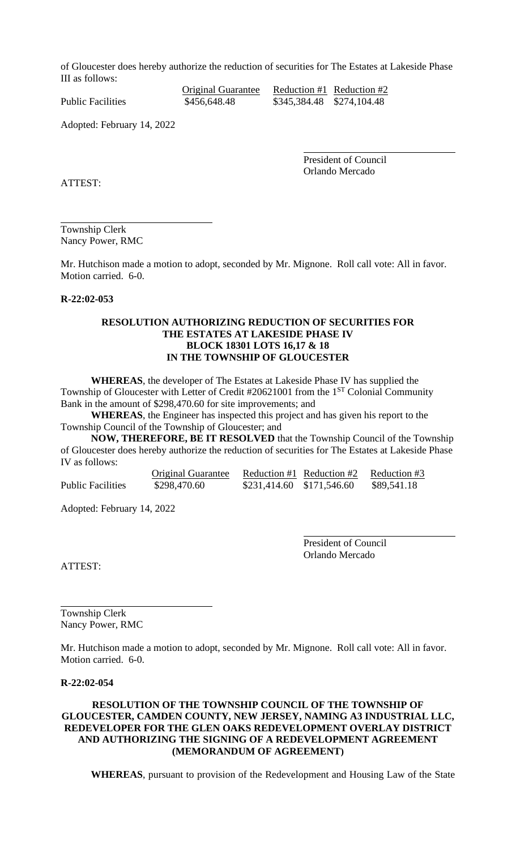of Gloucester does hereby authorize the reduction of securities for The Estates at Lakeside Phase III as follows:

Original Guarantee Reduction #1 Reduction #2 Public Facilities  $$456,648.48$   $$345,384.48$   $$274,104.48$ 

Adopted: February 14, 2022

President of Council Orlando Mercado

ATTEST:

Township Clerk Nancy Power, RMC

Mr. Hutchison made a motion to adopt, seconded by Mr. Mignone. Roll call vote: All in favor. Motion carried. 6-0.

## **R-22:02-053**

### **RESOLUTION AUTHORIZING REDUCTION OF SECURITIES FOR THE ESTATES AT LAKESIDE PHASE IV BLOCK 18301 LOTS 16,17 & 18 IN THE TOWNSHIP OF GLOUCESTER**

**WHEREAS**, the developer of The Estates at Lakeside Phase IV has supplied the Township of Gloucester with Letter of Credit #20621001 from the 1<sup>ST</sup> Colonial Community Bank in the amount of \$298,470.60 for site improvements; and

**WHEREAS**, the Engineer has inspected this project and has given his report to the Township Council of the Township of Gloucester; and

**NOW, THEREFORE, BE IT RESOLVED** that the Township Council of the Township of Gloucester does hereby authorize the reduction of securities for The Estates at Lakeside Phase IV as follows:

|                          | Original Guarantee |                           | Reduction #1 Reduction #2 | Reduction #3 |
|--------------------------|--------------------|---------------------------|---------------------------|--------------|
| <b>Public Facilities</b> | \$298,470.60       | \$231,414.60 \$171,546.60 |                           | \$89,541.18  |

Adopted: February 14, 2022

President of Council Orlando Mercado

ATTEST:

Township Clerk Nancy Power, RMC

Mr. Hutchison made a motion to adopt, seconded by Mr. Mignone. Roll call vote: All in favor. Motion carried. 6-0.

### **R-22:02-054**

## **RESOLUTION OF THE TOWNSHIP COUNCIL OF THE TOWNSHIP OF GLOUCESTER, CAMDEN COUNTY, NEW JERSEY, NAMING A3 INDUSTRIAL LLC, REDEVELOPER FOR THE GLEN OAKS REDEVELOPMENT OVERLAY DISTRICT AND AUTHORIZING THE SIGNING OF A REDEVELOPMENT AGREEMENT (MEMORANDUM OF AGREEMENT)**

**WHEREAS**, pursuant to provision of the Redevelopment and Housing Law of the State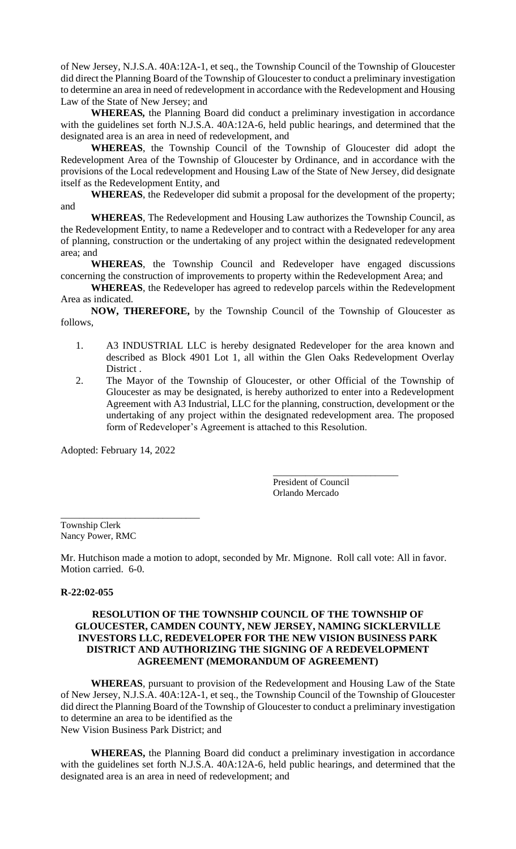of New Jersey, N.J.S.A. 40A:12A-1, et seq., the Township Council of the Township of Gloucester did direct the Planning Board of the Township of Gloucester to conduct a preliminary investigation to determine an area in need of redevelopment in accordance with the Redevelopment and Housing Law of the State of New Jersey; and

**WHEREAS***,* the Planning Board did conduct a preliminary investigation in accordance with the guidelines set forth N.J.S.A. 40A:12A-6, held public hearings, and determined that the designated area is an area in need of redevelopment, and

**WHEREAS**, the Township Council of the Township of Gloucester did adopt the Redevelopment Area of the Township of Gloucester by Ordinance, and in accordance with the provisions of the Local redevelopment and Housing Law of the State of New Jersey, did designate itself as the Redevelopment Entity, and

**WHEREAS**, the Redeveloper did submit a proposal for the development of the property; and

**WHEREAS**, The Redevelopment and Housing Law authorizes the Township Council, as the Redevelopment Entity, to name a Redeveloper and to contract with a Redeveloper for any area of planning, construction or the undertaking of any project within the designated redevelopment area; and

**WHEREAS**, the Township Council and Redeveloper have engaged discussions concerning the construction of improvements to property within the Redevelopment Area; and

**WHEREAS**, the Redeveloper has agreed to redevelop parcels within the Redevelopment Area as indicated.

**NOW, THEREFORE,** by the Township Council of the Township of Gloucester as follows,

- 1. A3 INDUSTRIAL LLC is hereby designated Redeveloper for the area known and described as Block 4901 Lot 1, all within the Glen Oaks Redevelopment Overlay District .
- 2. The Mayor of the Township of Gloucester, or other Official of the Township of Gloucester as may be designated, is hereby authorized to enter into a Redevelopment Agreement with A3 Industrial, LLC for the planning, construction, development or the undertaking of any project within the designated redevelopment area. The proposed form of Redeveloper's Agreement is attached to this Resolution.

Adopted: February 14, 2022

\_\_\_\_\_\_\_\_\_\_\_\_\_\_\_\_\_\_\_\_\_\_\_\_\_\_\_\_\_\_

\_\_\_\_\_\_\_\_\_\_\_\_\_\_\_\_\_\_\_\_\_\_\_\_\_\_\_ President of Council Orlando Mercado

Township Clerk Nancy Power, RMC

Mr. Hutchison made a motion to adopt, seconded by Mr. Mignone. Roll call vote: All in favor. Motion carried. 6-0.

## **R-22:02-055**

### **RESOLUTION OF THE TOWNSHIP COUNCIL OF THE TOWNSHIP OF GLOUCESTER, CAMDEN COUNTY, NEW JERSEY, NAMING SICKLERVILLE INVESTORS LLC, REDEVELOPER FOR THE NEW VISION BUSINESS PARK DISTRICT AND AUTHORIZING THE SIGNING OF A REDEVELOPMENT AGREEMENT (MEMORANDUM OF AGREEMENT)**

**WHEREAS**, pursuant to provision of the Redevelopment and Housing Law of the State of New Jersey, N.J.S.A. 40A:12A-1, et seq., the Township Council of the Township of Gloucester did direct the Planning Board of the Township of Gloucester to conduct a preliminary investigation to determine an area to be identified as the New Vision Business Park District; and

**WHEREAS,** the Planning Board did conduct a preliminary investigation in accordance with the guidelines set forth N.J.S.A. 40A:12A-6, held public hearings, and determined that the designated area is an area in need of redevelopment; and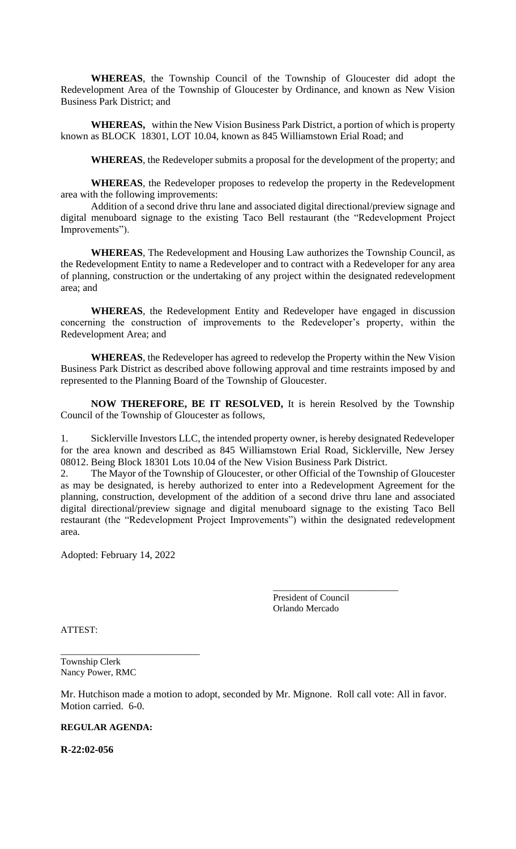**WHEREAS**, the Township Council of the Township of Gloucester did adopt the Redevelopment Area of the Township of Gloucester by Ordinance, and known as New Vision Business Park District; and

**WHEREAS,** within the New Vision Business Park District, a portion of which is property known as BLOCK 18301, LOT 10.04, known as 845 Williamstown Erial Road; and

**WHEREAS**, the Redeveloper submits a proposal for the development of the property; and

**WHEREAS**, the Redeveloper proposes to redevelop the property in the Redevelopment area with the following improvements:

Addition of a second drive thru lane and associated digital directional/preview signage and digital menuboard signage to the existing Taco Bell restaurant (the "Redevelopment Project Improvements").

**WHEREAS**, The Redevelopment and Housing Law authorizes the Township Council, as the Redevelopment Entity to name a Redeveloper and to contract with a Redeveloper for any area of planning, construction or the undertaking of any project within the designated redevelopment area; and

**WHEREAS**, the Redevelopment Entity and Redeveloper have engaged in discussion concerning the construction of improvements to the Redeveloper's property, within the Redevelopment Area; and

**WHEREAS**, the Redeveloper has agreed to redevelop the Property within the New Vision Business Park District as described above following approval and time restraints imposed by and represented to the Planning Board of the Township of Gloucester.

**NOW THEREFORE, BE IT RESOLVED,** It is herein Resolved by the Township Council of the Township of Gloucester as follows,

1. Sicklerville Investors LLC, the intended property owner, is hereby designated Redeveloper for the area known and described as 845 Williamstown Erial Road, Sicklerville, New Jersey 08012. Being Block 18301 Lots 10.04 of the New Vision Business Park District.

2. The Mayor of the Township of Gloucester, or other Official of the Township of Gloucester as may be designated, is hereby authorized to enter into a Redevelopment Agreement for the planning, construction, development of the addition of a second drive thru lane and associated digital directional/preview signage and digital menuboard signage to the existing Taco Bell restaurant (the "Redevelopment Project Improvements") within the designated redevelopment area.

Adopted: February 14, 2022

\_\_\_\_\_\_\_\_\_\_\_\_\_\_\_\_\_\_\_\_\_\_\_\_\_\_\_\_\_\_

\_\_\_\_\_\_\_\_\_\_\_\_\_\_\_\_\_\_\_\_\_\_\_\_\_\_\_ President of Council Orlando Mercado

ATTEST:

Township Clerk Nancy Power, RMC

Mr. Hutchison made a motion to adopt, seconded by Mr. Mignone. Roll call vote: All in favor. Motion carried. 6-0.

## **REGULAR AGENDA:**

**R-22:02-056**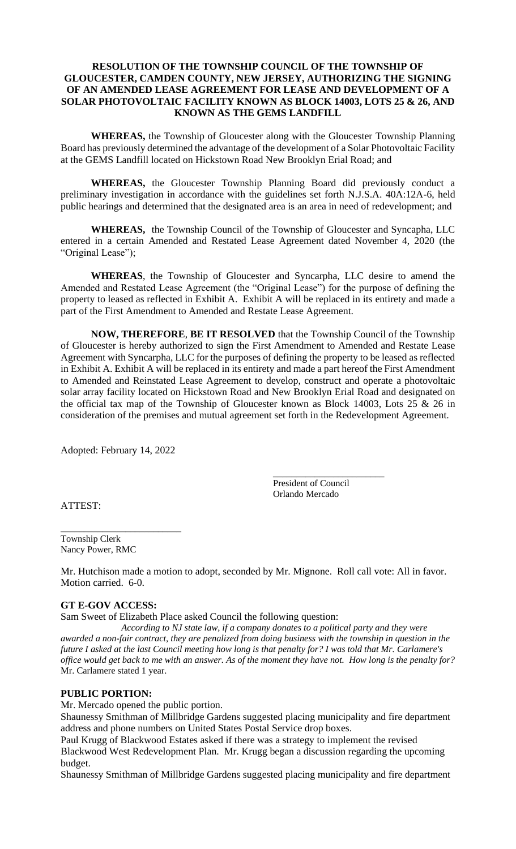## **RESOLUTION OF THE TOWNSHIP COUNCIL OF THE TOWNSHIP OF GLOUCESTER, CAMDEN COUNTY, NEW JERSEY, AUTHORIZING THE SIGNING OF AN AMENDED LEASE AGREEMENT FOR LEASE AND DEVELOPMENT OF A SOLAR PHOTOVOLTAIC FACILITY KNOWN AS BLOCK 14003, LOTS 25 & 26, AND KNOWN AS THE GEMS LANDFILL**

**WHEREAS,** the Township of Gloucester along with the Gloucester Township Planning Board has previously determined the advantage of the development of a Solar Photovoltaic Facility at the GEMS Landfill located on Hickstown Road New Brooklyn Erial Road; and

**WHEREAS,** the Gloucester Township Planning Board did previously conduct a preliminary investigation in accordance with the guidelines set forth N.J.S.A. 40A:12A-6, held public hearings and determined that the designated area is an area in need of redevelopment; and

**WHEREAS,** the Township Council of the Township of Gloucester and Syncapha, LLC entered in a certain Amended and Restated Lease Agreement dated November 4, 2020 (the "Original Lease");

**WHEREAS**, the Township of Gloucester and Syncarpha, LLC desire to amend the Amended and Restated Lease Agreement (the "Original Lease") for the purpose of defining the property to leased as reflected in Exhibit A. Exhibit A will be replaced in its entirety and made a part of the First Amendment to Amended and Restate Lease Agreement.

**NOW, THEREFORE**, **BE IT RESOLVED** that the Township Council of the Township of Gloucester is hereby authorized to sign the First Amendment to Amended and Restate Lease Agreement with Syncarpha, LLC for the purposes of defining the property to be leased as reflected in Exhibit A. Exhibit A will be replaced in its entirety and made a part hereof the First Amendment to Amended and Reinstated Lease Agreement to develop, construct and operate a photovoltaic solar array facility located on Hickstown Road and New Brooklyn Erial Road and designated on the official tax map of the Township of Gloucester known as Block 14003, Lots 25 & 26 in consideration of the premises and mutual agreement set forth in the Redevelopment Agreement.

Adopted: February 14, 2022

\_\_\_\_\_\_\_\_\_\_\_\_\_\_\_\_\_\_\_\_\_\_\_\_\_\_

\_\_\_\_\_\_\_\_\_\_\_\_\_\_\_\_\_\_\_\_\_\_\_\_ President of Council Orlando Mercado

ATTEST:

Township Clerk Nancy Power, RMC

Mr. Hutchison made a motion to adopt, seconded by Mr. Mignone. Roll call vote: All in favor. Motion carried. 6-0.

## **GT E-GOV ACCESS:**

Sam Sweet of Elizabeth Place asked Council the following question:

*According to NJ state law, if a company donates to a political party and they were awarded a non-fair contract, they are penalized from doing business with the township in question in the future I asked at the last Council meeting how long is that penalty for? I was told that Mr. Carlamere's office would get back to me with an answer. As of the moment they have not. How long is the penalty for?* Mr. Carlamere stated 1 year.

## **PUBLIC PORTION:**

Mr. Mercado opened the public portion.

Shaunessy Smithman of Millbridge Gardens suggested placing municipality and fire department address and phone numbers on United States Postal Service drop boxes.

Paul Krugg of Blackwood Estates asked if there was a strategy to implement the revised Blackwood West Redevelopment Plan. Mr. Krugg began a discussion regarding the upcoming budget.

Shaunessy Smithman of Millbridge Gardens suggested placing municipality and fire department